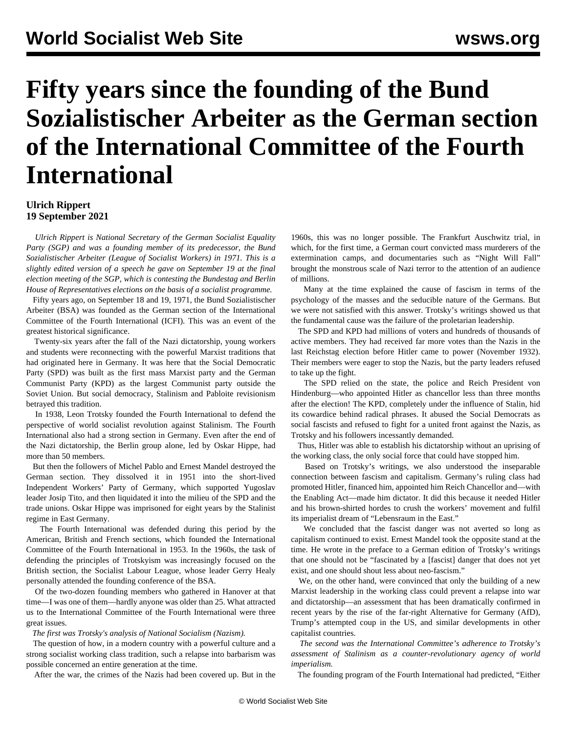## **Fifty years since the founding of the Bund Sozialistischer Arbeiter as the German section of the International Committee of the Fourth International**

## **Ulrich Rippert 19 September 2021**

 *Ulrich Rippert is National Secretary of the German Socialist Equality Party (SGP) and was a founding member of its predecessor, the Bund Sozialistischer Arbeiter (League of Socialist Workers) in 1971. This is a slightly edited version of a speech he gave on September 19 at the [final](https://www.youtube.com/watch?v=NHTUKWQFqG4&t=2s) [election meeting of the SGP](https://www.youtube.com/watch?v=NHTUKWQFqG4&t=2s), which is contesting the Bundestag and Berlin House of Representatives elections on the basis of a socialist programme.*

 Fifty years ago, on September 18 and 19, 1971, the Bund Sozialistischer Arbeiter (BSA) was founded as the German section of the International Committee of the Fourth International (ICFI). This was an event of the greatest historical significance.

 Twenty-six years after the fall of the Nazi dictatorship, young workers and students were reconnecting with the powerful Marxist traditions that had originated here in Germany. It was here that the Social Democratic Party (SPD) was built as the first mass Marxist party and the German Communist Party (KPD) as the largest Communist party outside the Soviet Union. But social democracy, Stalinism and Pabloite revisionism betrayed this tradition.

 In 1938, Leon Trotsky founded the Fourth International to defend the perspective of world socialist revolution against Stalinism. The Fourth International also had a strong section in Germany. Even after the end of the Nazi dictatorship, the Berlin group alone, led by Oskar Hippe, had more than 50 members.

 But then the followers of Michel Pablo and Ernest Mandel destroyed the German section. They dissolved it in 1951 into the short-lived Independent Workers' Party of Germany, which supported Yugoslav leader Josip Tito, and then liquidated it into the milieu of the SPD and the trade unions. Oskar Hippe was imprisoned for eight years by the Stalinist regime in East Germany.

 The Fourth International was defended during this period by the American, British and French sections, which founded the International Committee of the Fourth International in 1953. In the 1960s, the task of defending the principles of Trotskyism was increasingly focused on the British section, the Socialist Labour League, whose leader Gerry Healy personally attended the founding conference of the BSA.

 Of the two-dozen founding members who gathered in Hanover at that time—I was one of them—hardly anyone was older than 25. What attracted us to the International Committee of the Fourth International were three great issues.

*The first was Trotsky's analysis of National Socialism (Nazism).*

 The question of how, in a modern country with a powerful culture and a strong socialist working class tradition, such a relapse into barbarism was possible concerned an entire generation at the time.

After the war, the crimes of the Nazis had been covered up. But in the

1960s, this was no longer possible. The Frankfurt Auschwitz trial, in which, for the first time, a German court convicted mass murderers of the extermination camps, and documentaries such as "Night Will Fall" brought the monstrous scale of Nazi terror to the attention of an audience of millions.

 Many at the time explained the cause of fascism in terms of the psychology of the masses and the seducible nature of the Germans. But we were not satisfied with this answer. Trotsky's writings showed us that the fundamental cause was the failure of the proletarian leadership.

 The SPD and KPD had millions of voters and hundreds of thousands of active members. They had received far more votes than the Nazis in the last Reichstag election before Hitler came to power (November 1932). Their members were eager to stop the Nazis, but the party leaders refused to take up the fight.

 The SPD relied on the state, the police and Reich President von Hindenburg—who appointed Hitler as chancellor less than three months after the election! The KPD, completely under the influence of Stalin, hid its cowardice behind radical phrases. It abused the Social Democrats as social fascists and refused to fight for a united front against the Nazis, as Trotsky and his followers incessantly demanded.

 Thus, Hitler was able to establish his dictatorship without an uprising of the working class, the only social force that could have stopped him.

 Based on Trotsky's writings, we also understood the inseparable connection between fascism and capitalism. Germany's ruling class had promoted Hitler, financed him, appointed him Reich Chancellor and—with the Enabling Act—made him dictator. It did this because it needed Hitler and his brown-shirted hordes to crush the workers' movement and fulfil its imperialist dream of "Lebensraum in the East."

 We concluded that the fascist danger was not averted so long as capitalism continued to exist. Ernest Mandel took the opposite stand at the time. He wrote in the preface to a German edition of Trotsky's writings that one should not be "fascinated by a [fascist] danger that does not yet exist, and one should shout less about neo-fascism."

 We, on the other hand, were convinced that only the building of a new Marxist leadership in the working class could prevent a relapse into war and dictatorship—an assessment that has been dramatically confirmed in recent years by the rise of the far-right Alternative for Germany (AfD), Trump's attempted coup in the US, and similar developments in other capitalist countries.

 *The second was the International Committee's adherence to Trotsky's assessment of Stalinism as a counter-revolutionary agency of world imperialism.*

The founding program of the Fourth International had predicted, "Either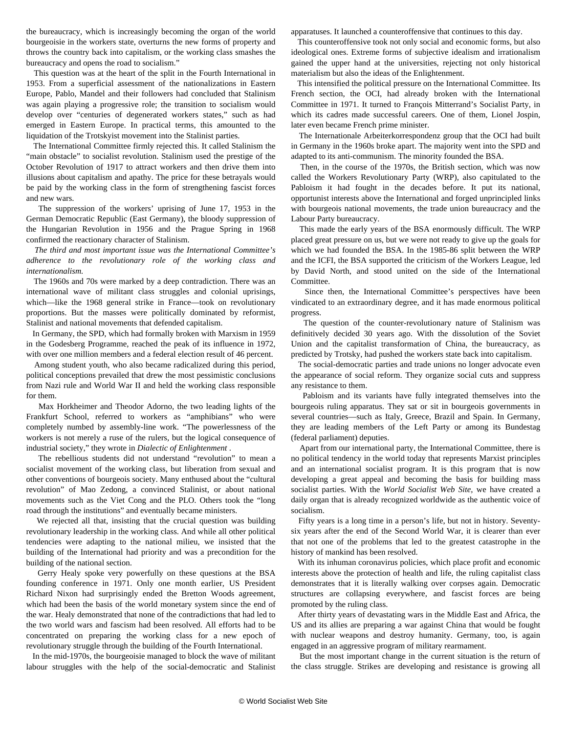the bureaucracy, which is increasingly becoming the organ of the world bourgeoisie in the workers state, overturns the new forms of property and throws the country back into capitalism, or the working class smashes the bureaucracy and opens the road to socialism."

 This question was at the heart of the split in the Fourth International in 1953. From a superficial assessment of the nationalizations in Eastern Europe, Pablo, Mandel and their followers had concluded that Stalinism was again playing a progressive role; the transition to socialism would develop over "centuries of degenerated workers states," such as had emerged in Eastern Europe. In practical terms, this amounted to the liquidation of the Trotskyist movement into the Stalinist parties.

 The International Committee firmly rejected this. It called Stalinism the "main obstacle" to socialist revolution. Stalinism used the prestige of the October Revolution of 1917 to attract workers and then drive them into illusions about capitalism and apathy. The price for these betrayals would be paid by the working class in the form of strengthening fascist forces and new wars.

 The suppression of the workers' uprising of June 17, 1953 in the German Democratic Republic (East Germany), the bloody suppression of the Hungarian Revolution in 1956 and the Prague Spring in 1968 confirmed the reactionary character of Stalinism.

 *The third and most important issue was the International Committee's adherence to the revolutionary role of the working class and internationalism.*

 The 1960s and 70s were marked by a deep contradiction. There was an international wave of militant class struggles and colonial uprisings, which—like the 1968 general strike in France—took on revolutionary proportions. But the masses were politically dominated by reformist, Stalinist and national movements that defended capitalism.

 In Germany, the SPD, which had formally broken with Marxism in 1959 in the Godesberg Programme, reached the peak of its influence in 1972, with over one million members and a federal election result of 46 percent.

 Among student youth, who also became radicalized during this period, political conceptions prevailed that drew the most pessimistic conclusions from Nazi rule and World War II and held the working class responsible for them.

 Max Horkheimer and Theodor Adorno, the two leading lights of the Frankfurt School, referred to workers as "amphibians" who were completely numbed by assembly-line work. "The powerlessness of the workers is not merely a ruse of the rulers, but the logical consequence of industrial society," they wrote in *Dialectic of Enlightenment* .

 The rebellious students did not understand "revolution" to mean a socialist movement of the working class, but liberation from sexual and other conventions of bourgeois society. Many enthused about the "cultural revolution" of Mao Zedong, a convinced Stalinist, or about national movements such as the Viet Cong and the PLO. Others took the "long road through the institutions" and eventually became ministers.

 We rejected all that, insisting that the crucial question was building revolutionary leadership in the working class. And while all other political tendencies were adapting to the national milieu, we insisted that the building of the International had priority and was a precondition for the building of the national section.

 Gerry Healy spoke very powerfully on these questions at the BSA founding conference in 1971. Only one month earlier, US President Richard Nixon had surprisingly ended the Bretton Woods agreement, which had been the basis of the world monetary system since the end of the war. Healy demonstrated that none of the contradictions that had led to the two world wars and fascism had been resolved. All efforts had to be concentrated on preparing the working class for a new epoch of revolutionary struggle through the building of the Fourth International.

 In the mid-1970s, the bourgeoisie managed to block the wave of militant labour struggles with the help of the social-democratic and Stalinist

apparatuses. It launched a counteroffensive that continues to this day.

 This counteroffensive took not only social and economic forms, but also ideological ones. Extreme forms of subjective idealism and irrationalism gained the upper hand at the universities, rejecting not only historical materialism but also the ideas of the Enlightenment.

 This intensified the political pressure on the International Committee. Its French section, the OCI, had already broken with the International Committee in 1971. It turned to François Mitterrand's Socialist Party, in which its cadres made successful careers. One of them, Lionel Jospin, later even became French prime minister.

 The Internationale Arbeiterkorrespondenz group that the OCI had built in Germany in the 1960s broke apart. The majority went into the SPD and adapted to its anti-communism. The minority founded the BSA.

 Then, in the course of the 1970s, the British section, which was now called the Workers Revolutionary Party (WRP), also capitulated to the Pabloism it had fought in the decades before. It put its national, opportunist interests above the International and forged unprincipled links with bourgeois national movements, the trade union bureaucracy and the Labour Party bureaucracy.

 This made the early years of the BSA enormously difficult. The WRP placed great pressure on us, but we were not ready to give up the goals for which we had founded the BSA. In the 1985-86 split between the WRP and the ICFI, the BSA supported the criticism of the Workers League, led by David North, and stood united on the side of the International Committee.

 Since then, the International Committee's perspectives have been vindicated to an extraordinary degree, and it has made enormous political progress.

 The question of the counter-revolutionary nature of Stalinism was definitively decided 30 years ago. With the dissolution of the Soviet Union and the capitalist transformation of China, the bureaucracy, as predicted by Trotsky, had pushed the workers state back into capitalism.

 The social-democratic parties and trade unions no longer advocate even the appearance of social reform. They organize social cuts and suppress any resistance to them.

 Pabloism and its variants have fully integrated themselves into the bourgeois ruling apparatus. They sat or sit in bourgeois governments in several countries—such as Italy, Greece, Brazil and Spain. In Germany, they are leading members of the Left Party or among its Bundestag (federal parliament) deputies.

 Apart from our international party, the International Committee, there is no political tendency in the world today that represents Marxist principles and an international socialist program. It is this program that is now developing a great appeal and becoming the basis for building mass socialist parties. With the *World Socialist Web Site*, we have created a daily organ that is already recognized worldwide as the authentic voice of socialism.

 Fifty years is a long time in a person's life, but not in history. Seventysix years after the end of the Second World War, it is clearer than ever that not one of the problems that led to the greatest catastrophe in the history of mankind has been resolved.

 With its inhuman coronavirus policies, which place profit and economic interests above the protection of health and life, the ruling capitalist class demonstrates that it is literally walking over corpses again. Democratic structures are collapsing everywhere, and fascist forces are being promoted by the ruling class.

 After thirty years of devastating wars in the Middle East and Africa, the US and its allies are preparing a war against China that would be fought with nuclear weapons and destroy humanity. Germany, too, is again engaged in an aggressive program of military rearmament.

 But the most important change in the current situation is the return of the class struggle. Strikes are developing and resistance is growing all